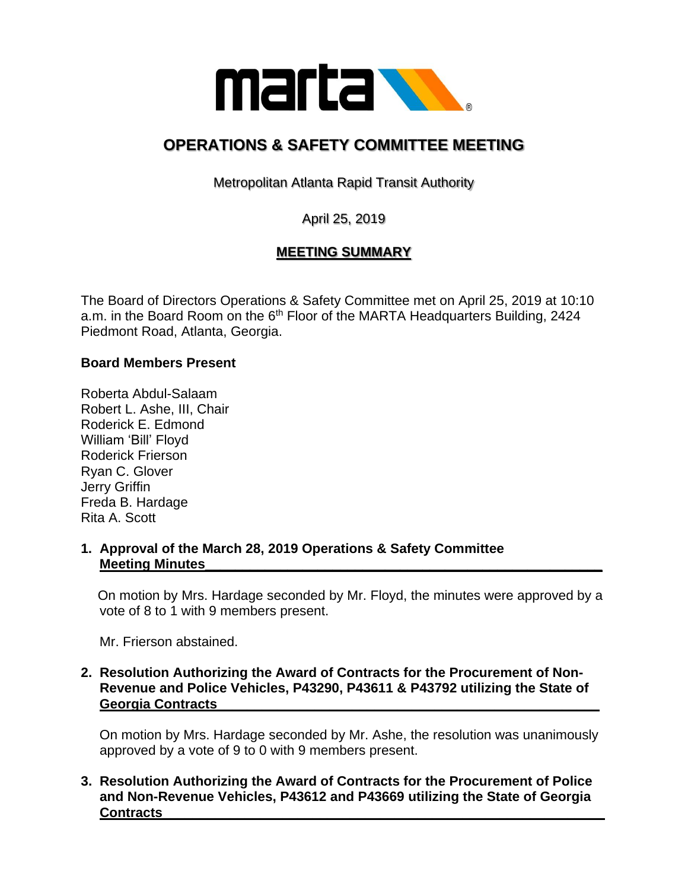

# **OPERATIONS & SAFETY COMMITTEE MEETING**

Metropolitan Atlanta Rapid Transit Authority

April 25, 2019

## **MEETING SUMMARY**

The Board of Directors Operations & Safety Committee met on April 25, 2019 at 10:10 a.m. in the Board Room on the  $6<sup>th</sup>$  Floor of the MARTA Headquarters Building, 2424 Piedmont Road, Atlanta, Georgia.

#### **Board Members Present**

Roberta Abdul-Salaam Robert L. Ashe, III, Chair Roderick E. Edmond William 'Bill' Floyd Roderick Frierson Ryan C. Glover Jerry Griffin Freda B. Hardage Rita A. Scott

#### **1. Approval of the March 28, 2019 Operations & Safety Committee Meeting Minutes**

 On motion by Mrs. Hardage seconded by Mr. Floyd, the minutes were approved by a vote of 8 to 1 with 9 members present.

Mr. Frierson abstained.

#### **2. Resolution Authorizing the Award of Contracts for the Procurement of Non- Revenue and Police Vehicles, P43290, P43611 & P43792 utilizing the State of Georgia Contracts\_\_\_\_\_\_\_\_\_\_\_\_\_\_\_\_\_\_\_\_\_\_\_\_\_\_\_\_\_\_\_\_\_\_\_\_\_\_\_\_\_\_\_\_\_\_\_\_\_\_\_**

 On motion by Mrs. Hardage seconded by Mr. Ashe, the resolution was unanimously approved by a vote of 9 to 0 with 9 members present.

#### **3. Resolution Authorizing the Award of Contracts for the Procurement of Police and Non-Revenue Vehicles, P43612 and P43669 utilizing the State of Georgia Contracts\_\_\_\_\_\_\_\_\_\_\_\_\_\_\_\_\_\_\_\_\_\_\_\_\_\_\_\_\_\_\_\_\_\_\_\_\_\_\_\_\_\_\_\_\_\_\_\_\_\_\_\_\_\_\_\_\_\_\_**